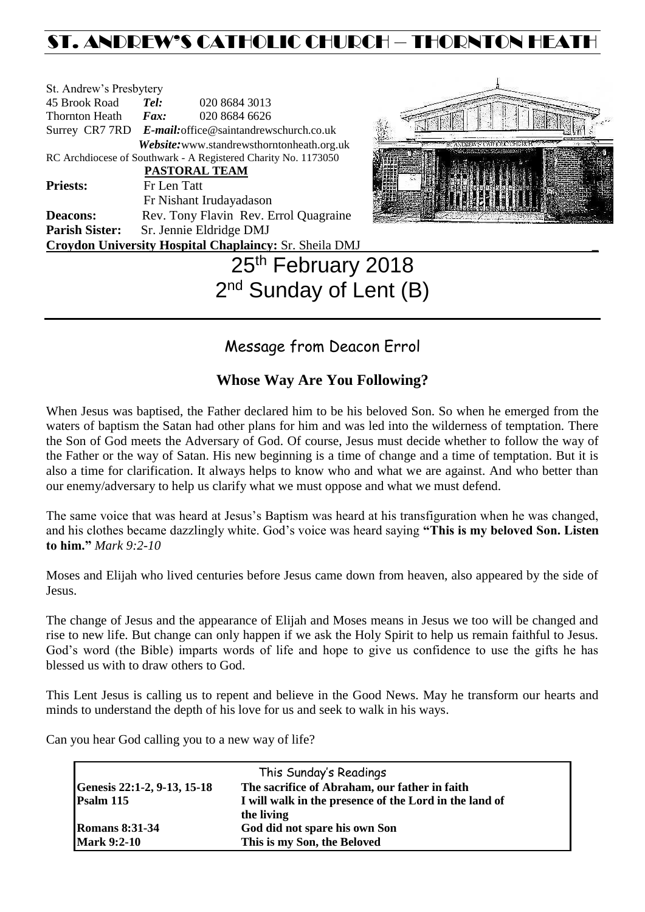# ST. ANDREW'S CATHOLIC CHURCH – THORNTON HEAT

| St. Andrew's Presbytery |                                                                |  |
|-------------------------|----------------------------------------------------------------|--|
| 45 Brook Road           | Tel:<br>020 8684 3013                                          |  |
| <b>Thornton Heath</b>   | 020 8684 6626<br>$\boldsymbol{Fax:}$                           |  |
|                         | Surrey CR7 7RD E-mail:office@saintandrewschurch.co.uk          |  |
|                         | Website: www.standrewsthorntonheath.org.uk                     |  |
|                         | RC Archdiocese of Southwark - A Registered Charity No. 1173050 |  |
|                         | PASTORAL TEAM                                                  |  |
| <b>Priests:</b>         | Fr Len Tatt                                                    |  |
|                         | Fr Nishant Irudayadason                                        |  |
| <b>Deacons:</b>         | Rev. Tony Flavin Rev. Errol Quagraine                          |  |
| <b>Parish Sister:</b>   | Sr. Jennie Eldridge DMJ                                        |  |
|                         | Croydon University Hospital Chaplaincy: Sr. Sheila DMJ         |  |
|                         |                                                                |  |



# 25<sup>th</sup> February 2018 2<sup>nd</sup> Sunday of Lent (B)

## Message from Deacon Errol

### **Whose Way Are You Following?**

When Jesus was baptised, the Father declared him to be his beloved Son. So when he emerged from the waters of baptism the Satan had other plans for him and was led into the wilderness of temptation. There the Son of God meets the Adversary of God. Of course, Jesus must decide whether to follow the way of the Father or the way of Satan. His new beginning is a time of change and a time of temptation. But it is also a time for clarification. It always helps to know who and what we are against. And who better than our enemy/adversary to help us clarify what we must oppose and what we must defend.

The same voice that was heard at Jesus's Baptism was heard at his transfiguration when he was changed, and his clothes became dazzlingly white. God's voice was heard saying **"This is my beloved Son. Listen to him."** *Mark 9:2-10*

Moses and Elijah who lived centuries before Jesus came down from heaven, also appeared by the side of Jesus.

The change of Jesus and the appearance of Elijah and Moses means in Jesus we too will be changed and rise to new life. But change can only happen if we ask the Holy Spirit to help us remain faithful to Jesus. God's word (the Bible) imparts words of life and hope to give us confidence to use the gifts he has blessed us with to draw others to God.

This Lent Jesus is calling us to repent and believe in the Good News. May he transform our hearts and minds to understand the depth of his love for us and seek to walk in his ways.

Can you hear God calling you to a new way of life?

| This Sunday's Readings                                              |                                               |  |  |  |
|---------------------------------------------------------------------|-----------------------------------------------|--|--|--|
| Genesis 22:1-2, 9-13, 15-18                                         | The sacrifice of Abraham, our father in faith |  |  |  |
| Psalm 115<br>I will walk in the presence of the Lord in the land of |                                               |  |  |  |
|                                                                     | the living                                    |  |  |  |
| <b>Romans 8:31-34</b>                                               | God did not spare his own Son                 |  |  |  |
| <b>Mark 9:2-10</b>                                                  | This is my Son, the Beloved                   |  |  |  |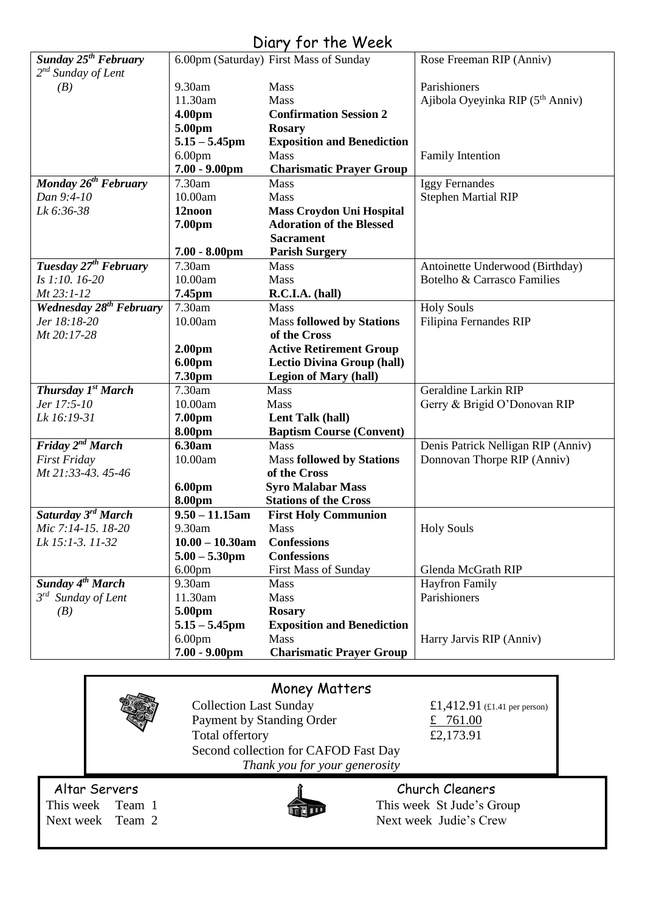## Diary for the Week

| Sunday $25^{th}$ February         |                    | 6.00pm (Saturday) First Mass of Sunday | Rose Freeman RIP (Anniv)                     |
|-----------------------------------|--------------------|----------------------------------------|----------------------------------------------|
| $2^{nd}$ Sunday of Lent           |                    |                                        |                                              |
| (B)                               | 9.30am             | Mass                                   | Parishioners                                 |
|                                   | 11.30am            | Mass                                   | Ajibola Oyeyinka RIP (5 <sup>th</sup> Anniv) |
|                                   | 4.00pm             | <b>Confirmation Session 2</b>          |                                              |
|                                   | 5.00pm             | <b>Rosary</b>                          |                                              |
|                                   | $5.15 - 5.45$ pm   | <b>Exposition and Benediction</b>      |                                              |
|                                   | 6.00 <sub>pm</sub> | Mass                                   | <b>Family Intention</b>                      |
|                                   | $7.00 - 9.00$ pm   | <b>Charismatic Prayer Group</b>        |                                              |
| Monday $26^{th}$ February         | 7.30am             | <b>Mass</b>                            | <b>Iggy Fernandes</b>                        |
| Dan 9:4-10                        | 10.00am            | Mass                                   | <b>Stephen Martial RIP</b>                   |
| Lk 6:36-38                        | 12noon             | <b>Mass Croydon Uni Hospital</b>       |                                              |
|                                   | 7.00pm             | <b>Adoration of the Blessed</b>        |                                              |
|                                   |                    | <b>Sacrament</b>                       |                                              |
|                                   | $7.00 - 8.00$ pm   | <b>Parish Surgery</b>                  |                                              |
| Tuesday 27 <sup>th</sup> February | 7.30am             | <b>Mass</b>                            | Antoinette Underwood (Birthday)              |
| Is 1:10, 16-20                    | 10.00am            | <b>Mass</b>                            | Botelho & Carrasco Families                  |
| Mt 23:1-12                        | 7.45pm             | R.C.I.A. (hall)                        |                                              |
| <b>Wednesday 28th February</b>    | 7.30am             | Mass                                   | <b>Holy Souls</b>                            |
| Jer 18:18-20                      | 10.00am            | <b>Mass followed by Stations</b>       | Filipina Fernandes RIP                       |
| Mt 20:17-28                       |                    | of the Cross                           |                                              |
|                                   | 2.00 <sub>pm</sub> | <b>Active Retirement Group</b>         |                                              |
|                                   | 6.00pm             | <b>Lectio Divina Group (hall)</b>      |                                              |
|                                   | 7.30pm             | <b>Legion of Mary (hall)</b>           |                                              |
| Thursday 1st March                | 7.30am             | <b>Mass</b>                            | Geraldine Larkin RIP                         |
| Jer 17:5-10                       | 10.00am            | Mass                                   | Gerry & Brigid O'Donovan RIP                 |
| Lk 16:19-31                       | 7.00pm             | Lent Talk (hall)                       |                                              |
|                                   | 8.00pm             | <b>Baptism Course (Convent)</b>        |                                              |
| Friday 2 <sup>nd</sup> March      | 6.30am             | Mass                                   | Denis Patrick Nelligan RIP (Anniv)           |
| <b>First Friday</b>               | 10.00am            | <b>Mass followed by Stations</b>       | Donnovan Thorpe RIP (Anniv)                  |
| Mt 21:33-43. 45-46                |                    | of the Cross                           |                                              |
|                                   | 6.00pm             | <b>Syro Malabar Mass</b>               |                                              |
|                                   | 8.00pm             | <b>Stations of the Cross</b>           |                                              |
| Saturday 3rd March                | $9.50 - 11.15$ am  | <b>First Holy Communion</b>            |                                              |
| Mic 7:14-15. 18-20                | 9.30am             | <b>Mass</b>                            | <b>Holy Souls</b>                            |
| Lk 15:1-3. 11-32                  | $10.00 - 10.30$ am | <b>Confessions</b>                     |                                              |
|                                   | $5.00 - 5.30$ pm   | <b>Confessions</b>                     |                                              |
|                                   | 6.00 <sub>pm</sub> | First Mass of Sunday                   | Glenda McGrath RIP                           |
| Sunday 4 <sup>th</sup> March      | 9.30am             | Mass                                   | <b>Hayfron Family</b>                        |
| $3^{rd}$ Sunday of Lent           | 11.30am            | Mass                                   | Parishioners                                 |
| (B)                               | 5.00pm             | <b>Rosary</b>                          |                                              |
|                                   | $5.15 - 5.45$ pm   | <b>Exposition and Benediction</b>      |                                              |
|                                   | 6.00 <sub>pm</sub> | Mass                                   | Harry Jarvis RIP (Anniv)                     |
|                                   | $7.00 - 9.00$ pm   | <b>Charismatic Prayer Group</b>        |                                              |
|                                   |                    |                                        |                                              |
|                                   |                    |                                        |                                              |

| <b>Money Matters</b> |                  |                                      |                              |  |
|----------------------|------------------|--------------------------------------|------------------------------|--|
|                      |                  | <b>Collection Last Sunday</b>        | £1,412.91 (£1.41 per person) |  |
|                      |                  | Payment by Standing Order            | £ 761.00                     |  |
|                      |                  | Total offertory                      | £2,173.91                    |  |
|                      |                  | Second collection for CAFOD Fast Day |                              |  |
|                      |                  | Thank you for your generosity        |                              |  |
| Altar Servers        |                  |                                      | Church Cleaners              |  |
|                      | This week Team 1 |                                      | This week St Jude's Group    |  |
|                      | Next week Team 2 |                                      | Next week Judie's Crew       |  |
|                      |                  |                                      |                              |  |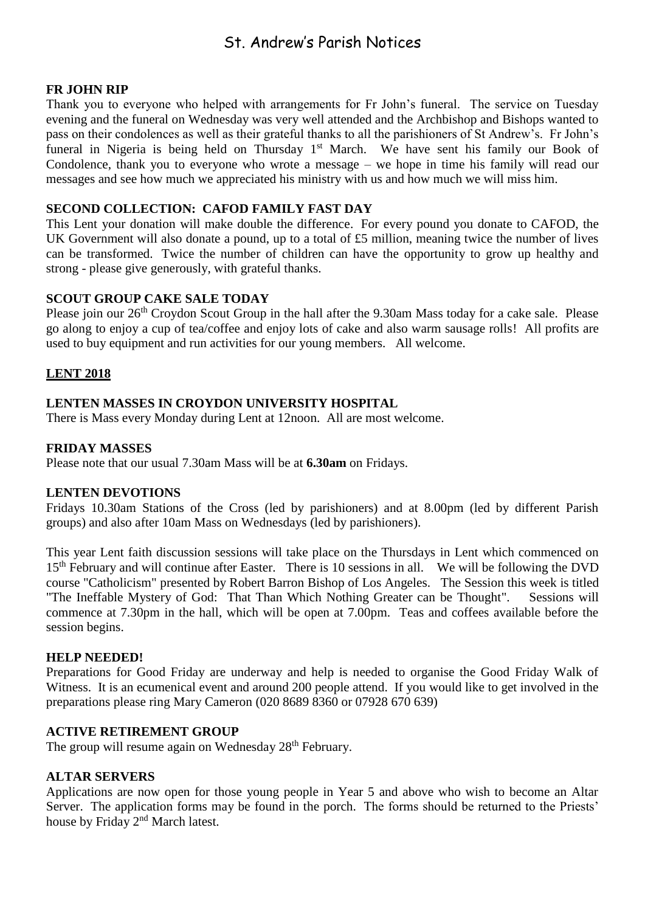## St. Andrew's Parish Notices

#### **FR JOHN RIP**

Thank you to everyone who helped with arrangements for Fr John's funeral. The service on Tuesday evening and the funeral on Wednesday was very well attended and the Archbishop and Bishops wanted to pass on their condolences as well as their grateful thanks to all the parishioners of St Andrew's. Fr John's funeral in Nigeria is being held on Thursday 1<sup>st</sup> March. We have sent his family our Book of Condolence, thank you to everyone who wrote a message – we hope in time his family will read our messages and see how much we appreciated his ministry with us and how much we will miss him.

#### **SECOND COLLECTION: CAFOD FAMILY FAST DAY**

This Lent your donation will make double the difference. For every pound you donate to CAFOD, the UK Government will also donate a pound, up to a total of £5 million, meaning twice the number of lives can be transformed. Twice the number of children can have the opportunity to grow up healthy and strong - please give generously, with grateful thanks.

#### **SCOUT GROUP CAKE SALE TODAY**

Please join our 26<sup>th</sup> Croydon Scout Group in the hall after the 9.30am Mass today for a cake sale. Please go along to enjoy a cup of tea/coffee and enjoy lots of cake and also warm sausage rolls! All profits are used to buy equipment and run activities for our young members. All welcome.

#### **LENT 2018**

#### **LENTEN MASSES IN CROYDON UNIVERSITY HOSPITAL**

There is Mass every Monday during Lent at 12noon. All are most welcome.

#### **FRIDAY MASSES**

Please note that our usual 7.30am Mass will be at **6.30am** on Fridays.

#### **LENTEN DEVOTIONS**

Fridays 10.30am Stations of the Cross (led by parishioners) and at 8.00pm (led by different Parish groups) and also after 10am Mass on Wednesdays (led by parishioners).

This year Lent faith discussion sessions will take place on the Thursdays in Lent which commenced on 15th February and will continue after Easter. There is 10 sessions in all. We will be following the DVD course "Catholicism" presented by Robert Barron Bishop of Los Angeles. The Session this week is titled "The Ineffable Mystery of God: That Than Which Nothing Greater can be Thought". Sessions will commence at 7.30pm in the hall, which will be open at 7.00pm. Teas and coffees available before the session begins.

#### **HELP NEEDED!**

Preparations for Good Friday are underway and help is needed to organise the Good Friday Walk of Witness. It is an ecumenical event and around 200 people attend. If you would like to get involved in the preparations please ring Mary Cameron (020 8689 8360 or 07928 670 639)

#### **ACTIVE RETIREMENT GROUP**

The group will resume again on Wednesday 28<sup>th</sup> February.

#### **ALTAR SERVERS**

Applications are now open for those young people in Year 5 and above who wish to become an Altar Server. The application forms may be found in the porch. The forms should be returned to the Priests' house by Friday 2nd March latest.